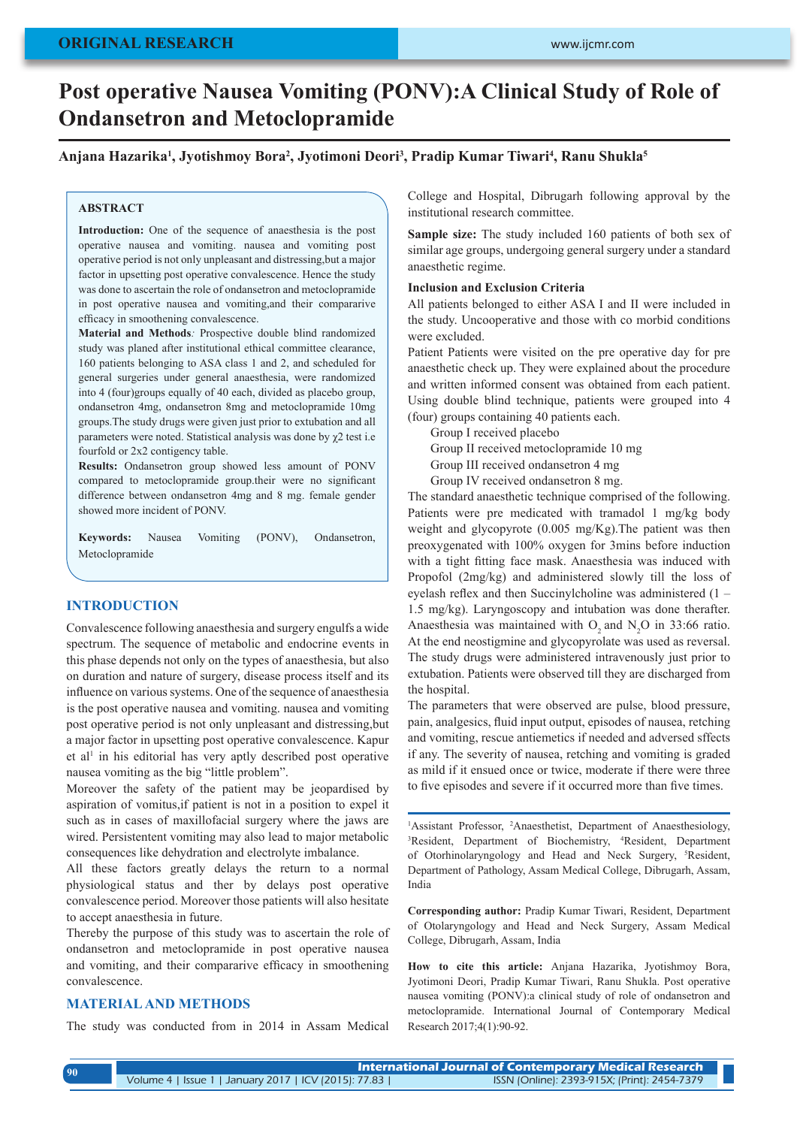# **Post operative Nausea Vomiting (PONV):A Clinical Study of Role of Ondansetron and Metoclopramide**

## Anjana Hazarika<sup>1</sup>, Jyotishmoy Bora<sup>2</sup>, Jyotimoni Deori<sup>3</sup>, Pradip Kumar Tiwari<sup>4</sup>, Ranu Shukla<sup>5</sup>

### **ABSTRACT**

**Introduction:** One of the sequence of anaesthesia is the post operative nausea and vomiting. nausea and vomiting post operative period is not only unpleasant and distressing,but a major factor in upsetting post operative convalescence. Hence the study was done to ascertain the role of ondansetron and metoclopramide in post operative nausea and vomiting,and their compararive efficacy in smoothening convalescence.

**Material and Methods***:* Prospective double blind randomized study was planed after institutional ethical committee clearance, 160 patients belonging to ASA class 1 and 2, and scheduled for general surgeries under general anaesthesia, were randomized into 4 (four)groups equally of 40 each, divided as placebo group, ondansetron 4mg, ondansetron 8mg and metoclopramide 10mg groups.The study drugs were given just prior to extubation and all parameters were noted. Statistical analysis was done by  $\chi$ 2 test i.e fourfold or 2x2 contigency table.

**Results:** Ondansetron group showed less amount of PONV compared to metoclopramide group.their were no significant difference between ondansetron 4mg and 8 mg. female gender showed more incident of PONV.

**Keywords:** Nausea Vomiting (PONV), Ondansetron, Metoclopramide

## **INTRODUCTION**

Convalescence following anaesthesia and surgery engulfs a wide spectrum. The sequence of metabolic and endocrine events in this phase depends not only on the types of anaesthesia, but also on duration and nature of surgery, disease process itself and its influence on various systems. One of the sequence of anaesthesia is the post operative nausea and vomiting. nausea and vomiting post operative period is not only unpleasant and distressing,but a major factor in upsetting post operative convalescence. Kapur et al<sup>1</sup> in his editorial has very aptly described post operative nausea vomiting as the big "little problem".

Moreover the safety of the patient may be jeopardised by aspiration of vomitus,if patient is not in a position to expel it such as in cases of maxillofacial surgery where the jaws are wired. Persistentent vomiting may also lead to major metabolic consequences like dehydration and electrolyte imbalance.

All these factors greatly delays the return to a normal physiological status and ther by delays post operative convalescence period. Moreover those patients will also hesitate to accept anaesthesia in future.

Thereby the purpose of this study was to ascertain the role of ondansetron and metoclopramide in post operative nausea and vomiting, and their compararive efficacy in smoothening convalescence.

## **MATERIAL AND METHODS**

The study was conducted from in 2014 in Assam Medical

College and Hospital, Dibrugarh following approval by the institutional research committee.

**Sample size:** The study included 160 patients of both sex of similar age groups, undergoing general surgery under a standard anaesthetic regime.

#### **Inclusion and Exclusion Criteria**

All patients belonged to either ASA I and II were included in the study. Uncooperative and those with co morbid conditions were excluded.

Patient Patients were visited on the pre operative day for pre anaesthetic check up. They were explained about the procedure and written informed consent was obtained from each patient. Using double blind technique, patients were grouped into 4 (four) groups containing 40 patients each.

Group I received placebo Group II received metoclopramide 10 mg Group III received ondansetron 4 mg Group IV received ondansetron 8 mg.

The standard anaesthetic technique comprised of the following. Patients were pre medicated with tramadol 1 mg/kg body weight and glycopyrote (0.005 mg/Kg).The patient was then preoxygenated with 100% oxygen for 3mins before induction with a tight fitting face mask. Anaesthesia was induced with Propofol (2mg/kg) and administered slowly till the loss of eyelash reflex and then Succinylcholine was administered (1 – 1.5 mg/kg). Laryngoscopy and intubation was done therafter. Anaesthesia was maintained with  $O_2$  and  $N_2O$  in 33:66 ratio. At the end neostigmine and glycopyrolate was used as reversal. The study drugs were administered intravenously just prior to extubation. Patients were observed till they are discharged from the hospital.

The parameters that were observed are pulse, blood pressure, pain, analgesics, fluid input output, episodes of nausea, retching and vomiting, rescue antiemetics if needed and adversed sffects if any. The severity of nausea, retching and vomiting is graded as mild if it ensued once or twice, moderate if there were three to five episodes and severe if it occurred more than five times.

<sup>1</sup>Assistant Professor, <sup>2</sup>Anaesthetist, Department of Anaesthesiology, <sup>3</sup>Resident Department of Biochemistry <sup>4</sup>Resident Department Resident, Department of Biochemistry, 4 Resident, Department of Otorhinolaryngology and Head and Neck Surgery, <sup>5</sup>Resident, Department of Pathology, Assam Medical College, Dibrugarh, Assam, India

**Corresponding author:** Pradip Kumar Tiwari, Resident, Department of Otolaryngology and Head and Neck Surgery, Assam Medical College, Dibrugarh, Assam, India

**How to cite this article:** Anjana Hazarika, Jyotishmoy Bora, Jyotimoni Deori, Pradip Kumar Tiwari, Ranu Shukla. Post operative nausea vomiting (PONV):a clinical study of role of ondansetron and metoclopramide. International Journal of Contemporary Medical Research 2017;4(1):90-92.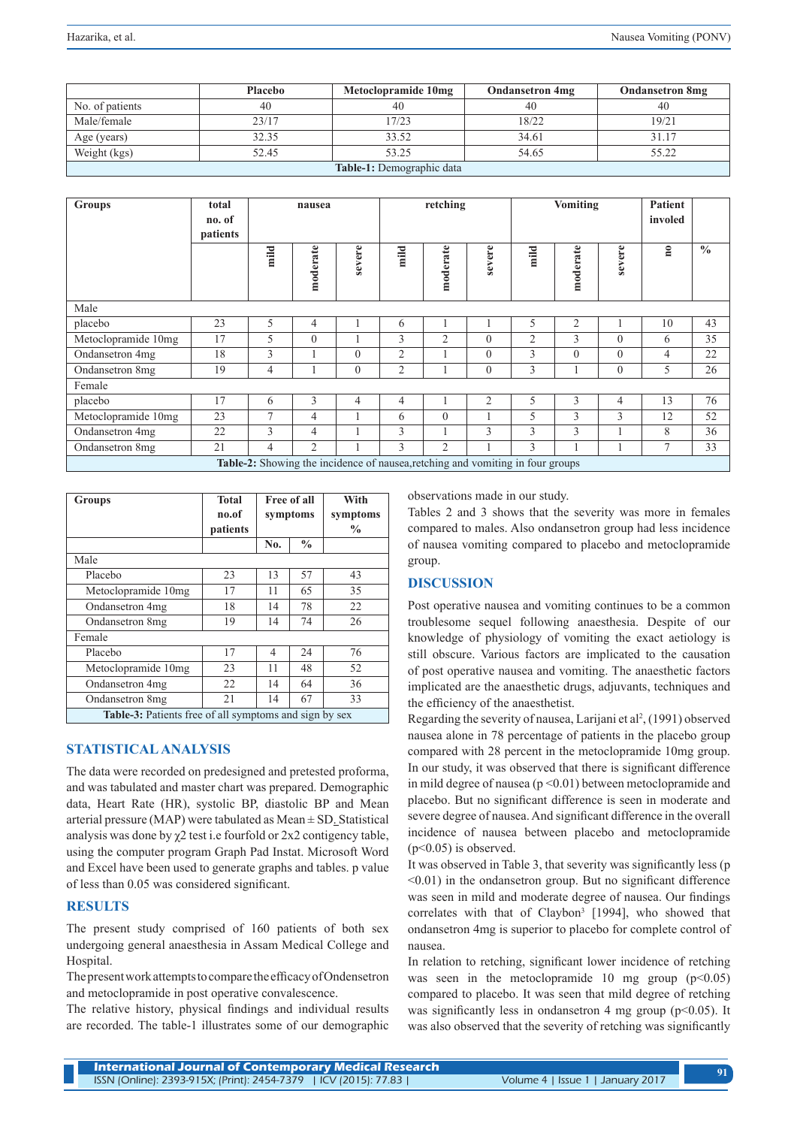|                           | <b>Placebo</b> | Metoclopramide 10mg | <b>Ondansetron 4mg</b> | <b>Ondansetron 8mg</b> |  |  |
|---------------------------|----------------|---------------------|------------------------|------------------------|--|--|
| No. of patients           | 40             | 40                  | 40                     | 40                     |  |  |
| Male/female               | 23/17          | 17/23               | 18/22                  | 19/21                  |  |  |
| Age (years)               | 32.35          | 33.52               | 34.61                  | 31.17                  |  |  |
| Weight (kgs)              | 52.45          | 53.25               | 54.65                  | 55.22                  |  |  |
| Table-1: Demographic data |                |                     |                        |                        |  |  |

| <b>Groups</b>                                                                  | total<br>no. of<br>patients | nausea |                |              | retching       |                | Vomiting       |                | <b>Patient</b><br>involed |                |                         |               |
|--------------------------------------------------------------------------------|-----------------------------|--------|----------------|--------------|----------------|----------------|----------------|----------------|---------------------------|----------------|-------------------------|---------------|
|                                                                                |                             | mild   | moderate       | severe       | mild           | moderate       | severe         | mild           | moderate                  | severe         | $\overline{\mathbf{n}}$ | $\frac{0}{0}$ |
| Male                                                                           |                             |        |                |              |                |                |                |                |                           |                |                         |               |
| placebo                                                                        | 23                          | 5      | 4              |              | 6              |                |                | 5              | $\overline{2}$            |                | 10                      | 43            |
| Metoclopramide 10mg                                                            | 17                          | 5      | $\Omega$       |              | 3              | $\overline{2}$ | $\theta$       | $\overline{2}$ | 3                         | $\theta$       | 6                       | 35            |
| Ondansetron 4mg                                                                | 18                          | 3      |                | $\theta$     | $\overline{2}$ |                | $\overline{0}$ | 3              | $\theta$                  | $\theta$       | $\overline{4}$          | 22            |
| Ondansetron 8mg                                                                | 19                          | 4      |                | $\mathbf{0}$ | $\overline{2}$ |                | $\theta$       | 3              |                           | $\theta$       | 5                       | 26            |
| Female                                                                         |                             |        |                |              |                |                |                |                |                           |                |                         |               |
| placebo                                                                        | 17                          | 6      | 3              | 4            | $\overline{4}$ |                | $\overline{2}$ | 5              | 3                         | $\overline{4}$ | 13                      | 76            |
| Metoclopramide 10mg                                                            | 23                          | $\tau$ | $\overline{4}$ |              | 6              | $\theta$       |                | 5              | 3                         | 3              | 12                      | 52            |
| Ondansetron 4mg                                                                | 22                          | 3      | 4              |              | 3              |                | 3              | 3              | 3                         |                | 8                       | 36            |
| Ondansetron 8mg                                                                | 21                          | 4      | $\overline{c}$ |              | 3              | $\overline{2}$ |                | 3              |                           |                | $\overline{7}$          | 33            |
| Table-2: Showing the incidence of nausea, retching and vomiting in four groups |                             |        |                |              |                |                |                |                |                           |                |                         |               |

| <b>Groups</b>                                                 | <b>Total</b><br>no.of<br>patients | symptoms | Free of all   | With<br>symptoms<br>$\frac{0}{0}$ |  |  |  |
|---------------------------------------------------------------|-----------------------------------|----------|---------------|-----------------------------------|--|--|--|
|                                                               |                                   | No.      | $\frac{0}{0}$ |                                   |  |  |  |
| Male                                                          |                                   |          |               |                                   |  |  |  |
| Placebo                                                       | 23                                | 13       | 57            | 43                                |  |  |  |
| Metoclopramide 10mg                                           | 17                                | 11       | 65            | 35                                |  |  |  |
| Ondansetron 4mg                                               | 18                                | 14       | 78            | 22                                |  |  |  |
| Ondansetron 8mg                                               | 19                                | 14       | 74            | 26                                |  |  |  |
| Female                                                        |                                   |          |               |                                   |  |  |  |
| Placebo                                                       | 17                                | 4        | 24            | 76                                |  |  |  |
| Metoclopramide 10mg                                           | 23                                | 11       | 48            | 52                                |  |  |  |
| Ondansetron 4mg                                               | 22                                | 14       | 64            | 36                                |  |  |  |
| Ondansetron 8mg                                               | 21                                | 14       | 67            | 33                                |  |  |  |
| <b>Table-3:</b> Patients free of all symptoms and sign by sex |                                   |          |               |                                   |  |  |  |

# **STATISTICAL ANALYSIS**

The data were recorded on predesigned and pretested proforma, and was tabulated and master chart was prepared. Demographic data, Heart Rate (HR), systolic BP, diastolic BP and Mean arterial pressure (MAP) were tabulated as Mean ± SD. Statistical analysis was done by  $\chi$ 2 test i.e fourfold or 2x2 contigency table, using the computer program Graph Pad Instat. Microsoft Word and Excel have been used to generate graphs and tables. p value of less than 0.05 was considered significant.

## **RESULTS**

The present study comprised of 160 patients of both sex undergoing general anaesthesia in Assam Medical College and Hospital.

The present work attempts to compare the efficacy of Ondensetron and metoclopramide in post operative convalescence.

The relative history, physical findings and individual results are recorded. The table-1 illustrates some of our demographic observations made in our study.

Tables 2 and 3 shows that the severity was more in females compared to males. Also ondansetron group had less incidence of nausea vomiting compared to placebo and metoclopramide group.

## **DISCUSSION**

Post operative nausea and vomiting continues to be a common troublesome sequel following anaesthesia. Despite of our knowledge of physiology of vomiting the exact aetiology is still obscure. Various factors are implicated to the causation of post operative nausea and vomiting. The anaesthetic factors implicated are the anaesthetic drugs, adjuvants, techniques and the efficiency of the anaesthetist.

Regarding the severity of nausea, Larijani et al<sup>2</sup>, (1991) observed nausea alone in 78 percentage of patients in the placebo group compared with 28 percent in the metoclopramide 10mg group. In our study, it was observed that there is significant difference in mild degree of nausea ( $p \le 0.01$ ) between metoclopramide and placebo. But no significant difference is seen in moderate and severe degree of nausea. And significant difference in the overall incidence of nausea between placebo and metoclopramide  $(p<0.05)$  is observed.

It was observed in Table 3, that severity was significantly less (p  $\leq 0.01$ ) in the ondansetron group. But no significant difference was seen in mild and moderate degree of nausea. Our findings correlates with that of Claybon<sup>3</sup> [1994], who showed that ondansetron 4mg is superior to placebo for complete control of nausea.

In relation to retching, significant lower incidence of retching was seen in the metoclopramide 10 mg group  $(p<0.05)$ compared to placebo. It was seen that mild degree of retching was significantly less in ondansetron 4 mg group  $(p<0.05)$ . It was also observed that the severity of retching was significantly